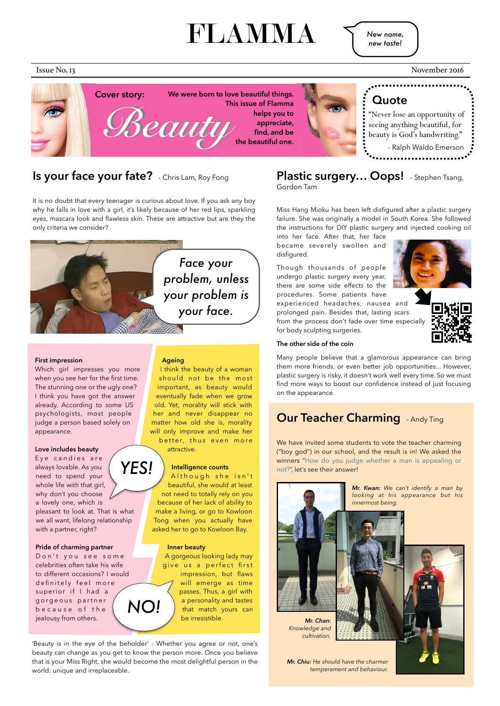# FLAMMA

#### **First impression**

Which girl impresses you more when you see her for the first time. The stunning one or the ugly one? I think you have got the answer already. According to some US psychologists, most people judge a person based solely on appearance.

#### **Love includes beauty**

Although she isn't beautiful, she would at least not need to totally rely on you because of her lack of ability to make a living, or go to Kowloon Tong when you actually have asked her to go to Kowloon Bay.

Eye candies are always lovable. As you need to spend your whole life with that girl, why don't you choose a lovely one, which is pleasant to look at. That is what we all want, lifelong relationship with a partner, right? *YES!*

### **Ageing**

I think the beauty of a woman should not be the most important, as beauty would eventually fade when we grow old. Yet, morality will stick with her and never disappear no matter how old she is, morality will only improve and make her better, thus even more attractive.



### **Intelligence counts**



**Inner beauty**  A gorgeous looking lady may give us a perfect first impression, but flaws will emerge as time passes. Thus, a girl with a personality and tastes that match yours can be irresistible.

'Beauty is in the eye of the beholder' - Whether you agree or not, one's beauty can change as you get to know the person more. Once you believe that is your Miss Right, she would become the most delightful person in the world: unique and irreplaceable.

### **Is your face your fate?** - Chris Lam, Roy Fong

It is no doubt that every teenager is curious about love. If you ask any boy why he falls in love with a girl, it's likely because of her red lips, sparkling eyes, mascara look and flawless skin. These are attractive but are they the only criteria we consider?

> We have invited some students to vote the teacher charming ("boy god") in our school, and the result is in! We asked the winners "How do you judge whether a man is appealing or not?", let's see their answer!

## **Plastic surgery… Oops!** - Stephen Tsang,

Gordon Tam

Miss Hang Mioku has been left disfigured after a plastic surgery failure. She was originally a model in South Korea. She followed the instructions for DIY plastic surgery and injected cooking oil

into her face. After that, her face became severely swollen and disfigured.



Though thousands of people undergo plastic surgery every year, there are some side effects to the procedures. Some patients have experienced headaches, nausea and prolonged pain. Besides that, lasting scars from the process don't fade over time especially for body sculpting surgeries.



### **The other side of the coin**

Many people believe that a glamorous appearance can bring them more friends, or even better job opportunities... However, plastic surgery is risky, it doesn't work well every time. So we must find more ways to boost our confidence instead of just focusing on the appearance.

### **Our Teacher Charming** - Andy Ting



*New name, new taste!*